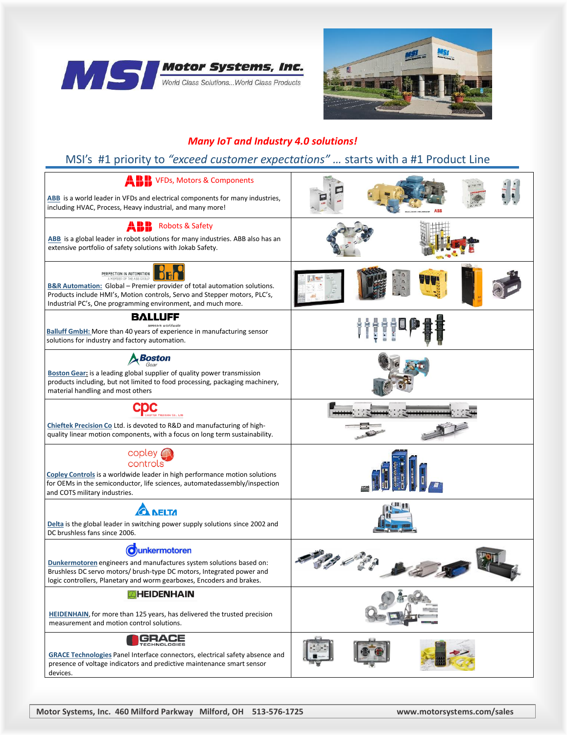



#### *Many IoT and Industry 4.0 solutions!*

### MSI's #1 priority to *"exceed customer expectations" …* starts with a #1 Product Line

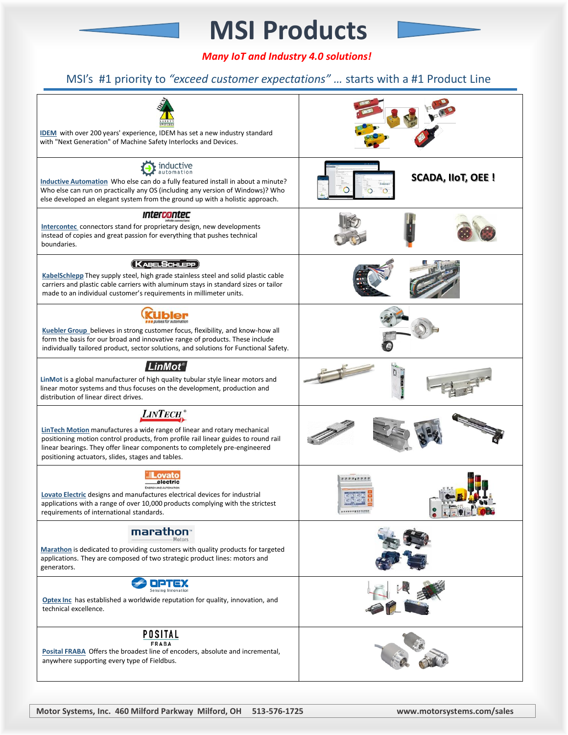# **MSI Products**



### MSI's #1 priority to *"exceed customer expectations" …* starts with a #1 Product Line